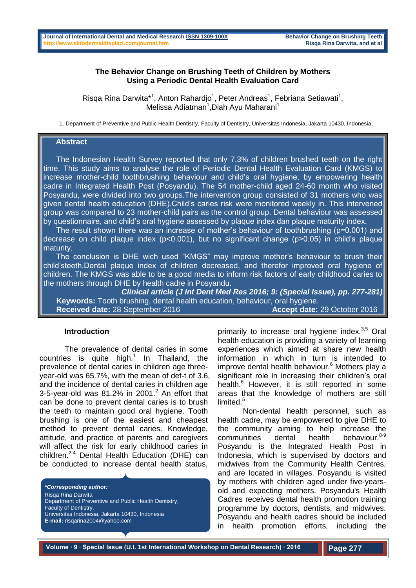#### **The Behavior Change on Brushing Teeth of Children by Mothers Using a Periodic Dental Health Evaluation Card**

Risqa Rina Darwita\*<sup>1</sup>, Anton Rahardjo<sup>1</sup>, Peter Andreas<sup>1</sup>, Febriana Setiawati<sup>1</sup>, Melissa Adiatman<sup>1</sup>, Diah Ayu Maharani<sup>1</sup>

1. Department of Preventive and Public Health Dentistry, Faculty of Dentistry, Universitas Indonesia, Jakarta 10430, Indonesia.

# **Abstract**

 The Indonesian Health Survey reported that only 7.3% of children brushed teeth on the right time. This study aims to analyse the role of Periodic Dental Health Evaluation Card (KMGS) to increase mother-child toothbrushing behaviour and child's oral hygiene, by empowering health cadre in Integrated Health Post (Posyandu). The 54 mother-child aged 24-60 month who visited Posyandu, were divided into two groups.The intervention group consisted of 31 mothers who was given dental health education (DHE).Child's caries risk were monitored weekly in. This intervened group was compared to 23 mother-child pairs as the control group. Dental behaviour was assessed by questionnaire, and child's oral hygiene assessed by plaque index dan plaque maturity index.

 The result shown there was an increase of mother's behaviour of toothbrushing (p=0.001) and decrease on child plaque index (p<0.001), but no significant change (p>0.05) in child's plaque maturity.

 The conclusion is DHE wich used "KMGS" may improve mother's behaviour to brush their child'steeth.Dental plaque index of children decreased, and therefor improved oral hygiene of children. The KMGS was able to be a good media to inform risk factors of early childhood caries to the mothers through DHE by health cadre in Posyandu.

*Clinical article (J Int Dent Med Res 2016; 9: (Special Issue), pp. 277-281)*   **Keywords:** Tooth brushing, dental health education, behaviour, oral hygiene. **Received date: 28 September 2016** 

#### **Introduction**

The prevalence of dental caries in some countries is quite high. $1$  In Thailand, the prevalence of dental caries in children age threeyear-old was 65.7%, with the mean of def-t of 3.6, and the incidence of dental caries in children age 3-5-year-old was  $81.2\%$  in 2001. $^2$  An effort that can be done to prevent dental caries is to brush the teeth to maintain good oral hygiene. Tooth brushing is one of the easiest and cheapest method to prevent dental caries. Knowledge, attitude, and practice of parents and caregivers will affect the risk for early childhood caries in children.<sup>2-4</sup> Dental Health Education (DHE) can be conducted to increase dental health status,

*\*Corresponding author:* Risqa Rina Darwita Department of Preventive and Public Health Dentistry, Faculty of Dentistry, Universitas Indonesia, Jakarta 10430, Indonesia **E-mail:** risqarina2004@yahoo.com

primarily to increase oral hygiene index. $3,5$  Oral health education is providing a variety of learning experiences which aimed at share new health information in which in turn is intended to improve dental health behaviour.<sup>6</sup> Mothers play a significant role in increasing their children's oral health.<sup>6</sup> However, it is still reported in some areas that the knowledge of mothers are still limited.<sup>5</sup>

Non-dental health personnel, such as health cadre, may be empowered to give DHE to the community aiming to help increase the  $commu$ nities dental health behaviour. $8-9$ Posyandu is the Integrated Health Post in Indonesia, which is supervised by doctors and midwives from the Community Health Centres, and are located in villages. Posyandu is visited by mothers with children aged under five-yearsold and expecting mothers. Posyandu's Health Cadres receives dental health promotion training programme by doctors, dentists, and midwives. Posyandu and health cadres should be included in health promotion efforts, including the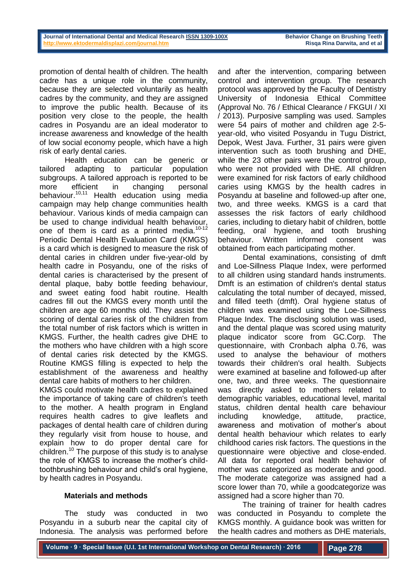promotion of dental health of children. The health cadre has a unique role in the community, because they are selected voluntarily as health cadres by the community, and they are assigned to improve the public health. Because of its position very close to the people, the health cadres in Posyandu are an ideal moderator to increase awareness and knowledge of the health of low social economy people, which have a high risk of early dental caries.

Health education can be generic or tailored adapting to particular population subgroups. A tailored approach is reported to be more efficient in changing personal behaviour.10,11 Health education using media campaign may help change communities health behaviour. Various kinds of media campaign can be used to change individual health behaviour, one of them is card as a printed media. $10-12$ Periodic Dental Health Evaluation Card (KMGS) is a card which is designed to measure the risk of dental caries in children under five-year-old by health cadre in Posyandu, one of the risks of dental caries is characterised by the present of dental plaque, baby bottle feeding behaviour, and sweet eating food habit routine. Health cadres fill out the KMGS every month until the children are age 60 months old. They assist the scoring of dental caries risk of the children from the total number of risk factors which is written in KMGS. Further, the health cadres give DHE to the mothers who have children with a high score of dental caries risk detected by the KMGS. Routine KMGS filling is expected to help the establishment of the awareness and healthy dental care habits of mothers to her children.

KMGS could motivate health cadres to explained the importance of taking care of children's teeth to the mother. A health program in England requires health cadres to give leaflets and packages of dental health care of children during they regularly visit from house to house, and explain how to do proper dental care for children.<sup>10</sup> The purpose of this study is to analyse the role of KMGS to increase the mother's childtoothbrushing behaviour and child's oral hygiene, by health cadres in Posyandu.

## **Materials and methods**

The study was conducted in two Posyandu in a suburb near the capital city of Indonesia. The analysis was performed before and after the intervention, comparing between control and intervention group. The research protocol was approved by the Faculty of Dentistry University of Indonesia Ethical Committee (Approval No. 76 / Ethical Clearance / FKGUI / XI / 2013). Purposive sampling was used. Samples were 54 pairs of mother and children age 2-5 year-old, who visited Posyandu in Tugu District, Depok, West Java. Further, 31 pairs were given intervention such as tooth brushing and DHE, while the 23 other pairs were the control group, who were not provided with DHE. All children were examined for risk factors of early childhood caries using KMGS by the health cadres in Posyandu at baseline and followed-up after one, two, and three weeks. KMGS is a card that assesses the risk factors of early childhood caries, including to dietary habit of children, bottle feeding, oral hygiene, and tooth brushing behaviour. Written informed consent was obtained from each participating mother.

Dental examinations, consisting of dmft and Loe-Sillness Plaque Index, were performed to all children using standard hands instruments. Dmft is an estimation of children's dental status calculating the total number of decayed, missed, and filled teeth (dmft). Oral hygiene status of children was examined using the Loe-Sillness Plaque Index. The disclosing solution was used, and the dental plaque was scored using maturity plaque indicator score from GC.Corp. The questionnaire, with Cronbach alpha 0.76, was used to analyse the behaviour of mothers towards their children's oral health. Subjects were examined at baseline and followed-up after one, two, and three weeks. The questionnaire was directly asked to mothers related to demographic variables, educational level, marital status, children dental health care behaviour including knowledge, attitude, practice, awareness and motivation of mother's about dental health behaviour which relates to early childhood caries risk factors. The questions in the questionnaire were objective and close-ended. All data for reported oral health behavior of mother was categorized as moderate and good. The moderate categorize was assigned had a score lower than 70, while a goodcategorize was assigned had a score higher than 70.

The training of trainer for health cadres was conducted in Posyandu to complete the KMGS monthly. A guidance book was written for the health cadres and mothers as DHE materials,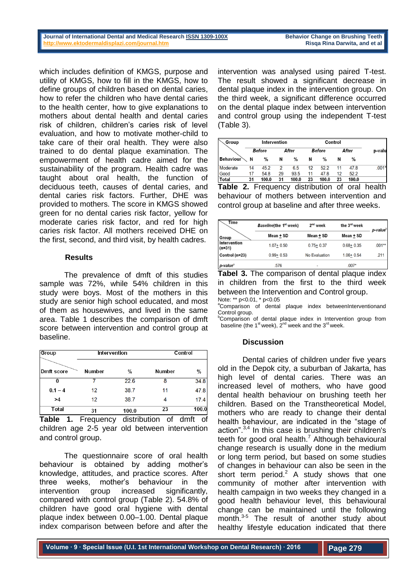which includes definition of KMGS, purpose and utility of KMGS, how to fill in the KMGS, how to define groups of children based on dental caries, how to refer the children who have dental caries to the health center, how to give explanations to mothers about dental health and dental caries risk of children, children's caries risk of level evaluation, and how to motivate mother-child to take care of their oral health. They were also trained to do dental plaque examination. The empowerment of health cadre aimed for the sustainability of the program. Health cadre was taught about oral health, the function of deciduous teeth, causes of dental caries, and dental caries risk factors. Further, DHE was provided to mothers. The score in KMGS showed green for no dental caries risk factor, yellow for moderate caries risk factor, and red for high caries risk factor. All mothers received DHE on the first, second, and third visit, by health cadres.

## **Results**

The prevalence of dmft of this studies sample was 72%, while 54% children in this study were boys. Most of the mothers in this study are senior high school educated, and most of them as housewives, and lived in the same area. Table 1 describes the comparison of dmft score between intervention and control group at baseline.

| Group             | Intervention |       | Control |               |  |
|-------------------|--------------|-------|---------|---------------|--|
| <b>Dmft score</b> | Number       | %     | Number  | $\frac{0}{0}$ |  |
| 0                 |              | 22.6  | 8       | 34.8          |  |
| $0.1 - 4$         | 12           | 38.7  | 11      | 47.8          |  |
| >4                | 12           | 38.7  |         | 17.4          |  |
| Total             | 31           | 100.0 | 23      | 100.0         |  |

**Table 1.** Frequency distribution of dmft of children age 2-5 year old between intervention and control group.

The questionnaire score of oral health behaviour is obtained by adding mother's knowledge, attitudes, and practice scores. After three weeks, mother's behaviour in the intervention group increased significantly, compared with control group (Table 2). 54.8% of children have good oral hygiene with dental plaque index between 0.00–1.00. Dental plaque index comparison between before and after the

intervention was analysed using paired T-test. The result showed a significant decrease in dental plaque index in the intervention group. On the third week, a significant difference occurred on the dental plaque index between intervention and control group using the independent T-test (Table 3).

| Group                          | Intervention |               |    | Control |                  |               |    |       |         |
|--------------------------------|--------------|---------------|----|---------|------------------|---------------|----|-------|---------|
|                                |              | <b>Before</b> |    | After   |                  | <b>Before</b> |    | After | p-valu  |
| <b>Behaviour</b> $\setminus$ N |              | $\frac{0}{0}$ | Ν  | %       | N                | $\%$          | N  | $\%$  |         |
| Moderate                       | 14           | 452           | 2  | 65      | 12 <sup>12</sup> | 52.2          | 11 | 478   | $.001*$ |
| Good                           | 17           | 54.8          | 29 | 93.5    | 11               | 47.8          | 12 | 52.2  |         |
| Total                          | 31           | 100.0         | 31 | 100.0   | 23               | 100.0         | 23 | 100.0 |         |

**Table 2.** Frequency distribution of oral health behaviour of mothers between intervention and control group at baseline and after three weeks.

| Time                     | Baseline(the 1 <sup>st</sup> week) | 2 <sup>nd</sup> week | the 3 <sup>rd</sup> week | p-value <sup>b</sup> |
|--------------------------|------------------------------------|----------------------|--------------------------|----------------------|
| Group                    | Mean + SD                          | Mean + SD            | Mean + SD                |                      |
| Intervention<br>$(n=31)$ | $1.07 + 0.50$                      | $0.75 + 0.37$        | $0.68 + 0.35$            | $.001***$            |
| Control (n=23)           | $0.99 + 0.53$                      | No Evaluation        | $1.06 + 0.54$            | .211                 |
| p-value <sup>a</sup>     | 576                                |                      | $.007*$                  |                      |

**Tabel 3.** The comparison of dental plaque index in children from the first to the third week between the Intervention and Control group. Note: \*\* p<0.01, \* p<0.05

<sup>a</sup>Comparison of dental plaque index betweenInterventionand Control group.

<sup>b</sup>Comparison of dental plaque index in Intervention group from baseline (the 1 $\mathrm{st}$  week),  $2^{\mathrm{nd}}$  week and the 3 $\mathrm{rd}$  week.

## **Discussion**

Dental caries of children under five years old in the Depok city, a suburban of Jakarta, has high level of dental caries. There was an increased level of mothers, who have good dental health behaviour on brushing teeth her children. Based on the Transtheoretical Model, mothers who are ready to change their dental health behaviour, are indicated in the "stage of action". $3,4$  In this case is brushing their children's teeth for good oral health.<sup>7</sup> Although behavioural change research is usually done in the medium or long term period, but based on some studies of changes in behaviour can also be seen in the short term period. $2$  A study shows that one community of mother after intervention with health campaign in two weeks they changed in a good health behaviour level, this behavioural change can be maintained until the following month.<sup>3-5</sup> The result of another study about healthy lifestyle education indicated that there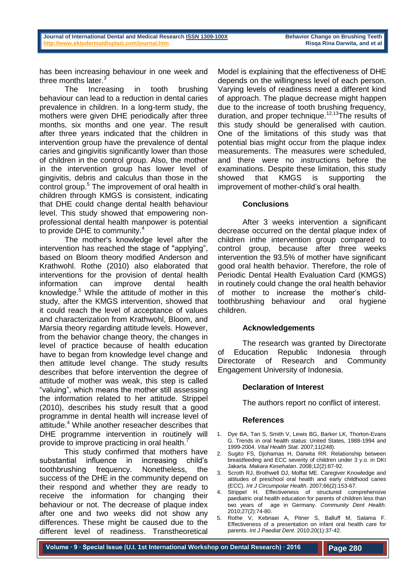has been increasing behaviour in one week and three months later.<sup>3</sup>

The Increasing in tooth brushing behaviour can lead to a reduction in dental caries prevalence in children. In a long-term study, the mothers were given DHE periodically after three months, six months and one year. The result after three years indicated that the children in intervention group have the prevalence of dental caries and gingivitis significantly lower than those of children in the control group. Also, the mother in the intervention group has lower level of gingivitis, debris and calculus than those in the control group.<sup>5</sup> The improvement of oral health in children through KMGS is consistent, indicating that DHE could change dental health behaviour level. This study showed that empowering nonprofessional dental health manpower is potential to provide DHE to community.<sup>4</sup>

The mother's knowledge level after the intervention has reached the stage of "applying", based on Bloom theory modified Anderson and Krathwohl. Rothe (2010) also elaborated that interventions for the provision of dental health information can improve dental health knowledge.<sup>5</sup> While the attitude of mother in this study, after the KMGS intervention, showed that it could reach the level of acceptance of values and characterization from Krathwohl, Bloom, and Marsia theory regarding attitude levels. However, from the behavior change theory, the changes in level of practice because of health education have to began from knowledge level change and then attitude level change. The study results describes that before intervention the degree of attitude of mother was weak, this step is called "valuing", which means the mother still assessing the information related to her attitude. Strippel (2010), describes his study result that a good programme in dental health will increase level of attitude.<sup>4</sup> While another reseacher describes that DHE programme intervention in routinely will provide to improve practicing in oral health.

This study confirmed that mothers have substantial influence in increasing child's toothbrushing frequency. Nonetheless, the success of the DHE in the community depend on their respond and whether they are ready to receive the information for changing their behaviour or not. The decrease of plaque index after one and two weeks did not show any differences. These might be caused due to the different level of readiness. Transtheoretical

Model is explaining that the effectiveness of DHE depends on the willingness level of each person. Varying levels of readiness need a different kind of approach. The plaque decrease might happen due to the increase of tooth brushing frequency, duration, and proper technique.<sup>12,13</sup>The results of this study should be generalised with caution. One of the limitations of this study was that potential bias might occur from the plaque index measurements. The measures were scheduled, and there were no instructions before the examinations. Despite these limitation, this study showed that KMGS is supporting the improvement of mother-child's oral health.

## **Conclusions**

After 3 weeks intervention a significant decrease occurred on the dental plaque index of children inthe intervention group compared to control group, because after three weeks intervention the 93.5% of mother have significant good oral health behavior. Therefore, the role of Periodic Dental Health Evaluation Card (KMGS) in routinely could change the oral health behavior of mother to increase the mother's childtoothbrushing behaviour and oral hygiene children.

## **Acknowledgements**

The research was granted by Directorate of Education Republic Indonesia through Directorate of Research and Community Engagement University of Indonesia.

## **Declaration of Interest**

The authors report no conflict of interest.

#### **References**

- 1. Dye BA, Tan S, Smith V, Lewis BG, Barker LK, Thorton-Evans G. Trends in oral health status: United States, 1988-1994 and 1999-2004. *Vital Health Stat*. 2007;11(248).
- 2. Sugito FS, Djoharnas H, Darwita RR. Relationship between breastfeeding and ECC severity of children under 3 y.o. in DKI Jakarta. *Makara Kesehatan*. 2008;12(2):87-92.
- 3. Scroth RJ, Brothwell DJ, Moffat ME. Caregiver Knowledge and attitudes of preschool oral health and early childhood caries (ECC). *Int J Circumpolar Health*. 2007;66(2):153-67.
- 4. Strippel H. Effectiveness of structured comprehensive paediatric oral health education for parents of children less than two years of age in Germany. *Community Dent Health*. 2010;27(2):74-80.
- 5. Rothe V, Kebriaei A, Pitner S, Balluff M, Salama F. Effectiveness of a presentation on infant oral health care for parents. *Int J Paediat Dent*. 2010;20(1):37-42.